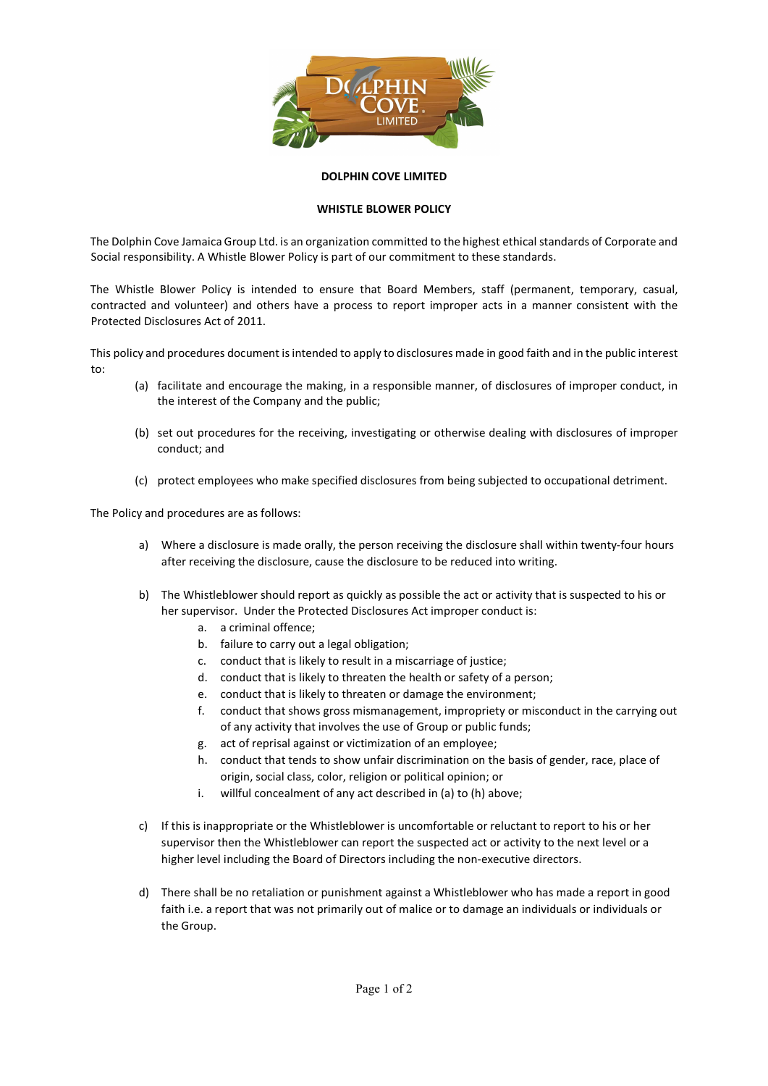

## DOLPHIN COVE LIMITED

## WHISTLE BLOWER POLICY

The Dolphin Cove Jamaica Group Ltd. is an organization committed to the highest ethical standards of Corporate and Social responsibility. A Whistle Blower Policy is part of our commitment to these standards.

The Whistle Blower Policy is intended to ensure that Board Members, staff (permanent, temporary, casual, contracted and volunteer) and others have a process to report improper acts in a manner consistent with the Protected Disclosures Act of 2011.

This policy and procedures document is intended to apply to disclosures made in good faith and in the public interest to:

- (a) facilitate and encourage the making, in a responsible manner, of disclosures of improper conduct, in the interest of the Company and the public;
- (b) set out procedures for the receiving, investigating or otherwise dealing with disclosures of improper conduct; and
- (c) protect employees who make specified disclosures from being subjected to occupational detriment.

The Policy and procedures are as follows:

- a) Where a disclosure is made orally, the person receiving the disclosure shall within twenty-four hours after receiving the disclosure, cause the disclosure to be reduced into writing.
- b) The Whistleblower should report as quickly as possible the act or activity that is suspected to his or her supervisor. Under the Protected Disclosures Act improper conduct is:
	- a. a criminal offence;
	- b. failure to carry out a legal obligation;
	- c. conduct that is likely to result in a miscarriage of justice;
	- d. conduct that is likely to threaten the health or safety of a person;
	- e. conduct that is likely to threaten or damage the environment;
	- f. conduct that shows gross mismanagement, impropriety or misconduct in the carrying out of any activity that involves the use of Group or public funds;
	- g. act of reprisal against or victimization of an employee;
	- h. conduct that tends to show unfair discrimination on the basis of gender, race, place of origin, social class, color, religion or political opinion; or
	- i. willful concealment of any act described in (a) to (h) above;
- c) If this is inappropriate or the Whistleblower is uncomfortable or reluctant to report to his or her supervisor then the Whistleblower can report the suspected act or activity to the next level or a higher level including the Board of Directors including the non-executive directors.
- d) There shall be no retaliation or punishment against a Whistleblower who has made a report in good faith i.e. a report that was not primarily out of malice or to damage an individuals or individuals or the Group.